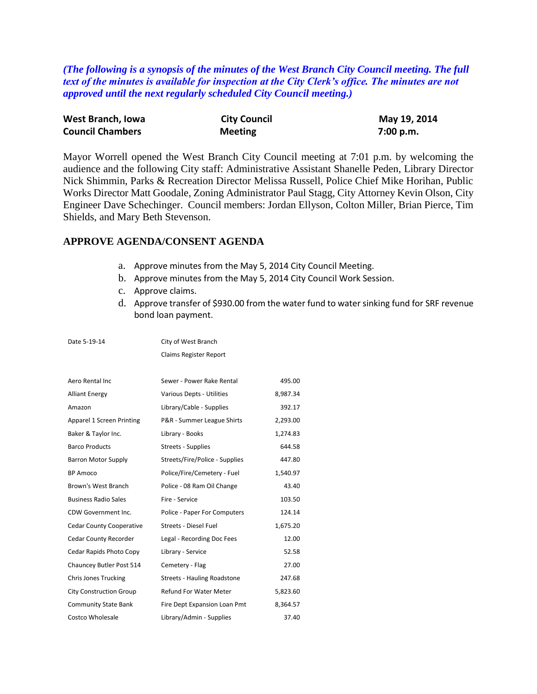*(The following is a synopsis of the minutes of the West Branch City Council meeting. The full text of the minutes is available for inspection at the City Clerk's office. The minutes are not approved until the next regularly scheduled City Council meeting.)*

| West Branch, Iowa       | <b>City Council</b> | May 19, 2014 |
|-------------------------|---------------------|--------------|
| <b>Council Chambers</b> | <b>Meeting</b>      | 7:00 p.m.    |

Mayor Worrell opened the West Branch City Council meeting at 7:01 p.m. by welcoming the audience and the following City staff: Administrative Assistant Shanelle Peden, Library Director Nick Shimmin, Parks & Recreation Director Melissa Russell, Police Chief Mike Horihan, Public Works Director Matt Goodale, Zoning Administrator Paul Stagg, City Attorney Kevin Olson, City Engineer Dave Schechinger. Council members: Jordan Ellyson, Colton Miller, Brian Pierce, Tim Shields, and Mary Beth Stevenson.

# **APPROVE AGENDA/CONSENT AGENDA**

- a. Approve minutes from the May 5, 2014 City Council Meeting.
- b. Approve minutes from the May 5, 2014 City Council Work Session.
- c. Approve claims.
- d. Approve transfer of \$930.00 from the water fund to water sinking fund for SRF revenue bond loan payment.

| Date 5-19-14                    | City of West Branch                |          |
|---------------------------------|------------------------------------|----------|
|                                 | Claims Register Report             |          |
|                                 |                                    |          |
| Aero Rental Inc                 | Sewer - Power Rake Rental          | 495.00   |
| <b>Alliant Energy</b>           | Various Depts - Utilities          | 8,987.34 |
| Amazon                          | Library/Cable - Supplies           | 392.17   |
| Apparel 1 Screen Printing       | P&R - Summer League Shirts         | 2,293.00 |
| Baker & Taylor Inc.             | Library - Books                    | 1,274.83 |
| <b>Barco Products</b>           | Streets - Supplies                 | 644.58   |
| <b>Barron Motor Supply</b>      | Streets/Fire/Police - Supplies     | 447.80   |
| BP Amoco                        | Police/Fire/Cemetery - Fuel        | 1,540.97 |
| Brown's West Branch             | Police - 08 Ram Oil Change         | 43.40    |
| <b>Business Radio Sales</b>     | Fire - Service                     | 103.50   |
| CDW Government Inc.             | Police - Paper For Computers       | 124.14   |
| <b>Cedar County Cooperative</b> | Streets - Diesel Fuel              | 1,675.20 |
| Cedar County Recorder           | Legal - Recording Doc Fees         | 12.00    |
| Cedar Rapids Photo Copy         | Library - Service                  | 52.58    |
| Chauncey Butler Post 514        | Cemetery - Flag                    | 27.00    |
| <b>Chris Jones Trucking</b>     | <b>Streets - Hauling Roadstone</b> | 247.68   |
| <b>City Construction Group</b>  | <b>Refund For Water Meter</b>      | 5,823.60 |
| <b>Community State Bank</b>     | Fire Dept Expansion Loan Pmt       | 8,364.57 |
| Costco Wholesale                | Library/Admin - Supplies           | 37.40    |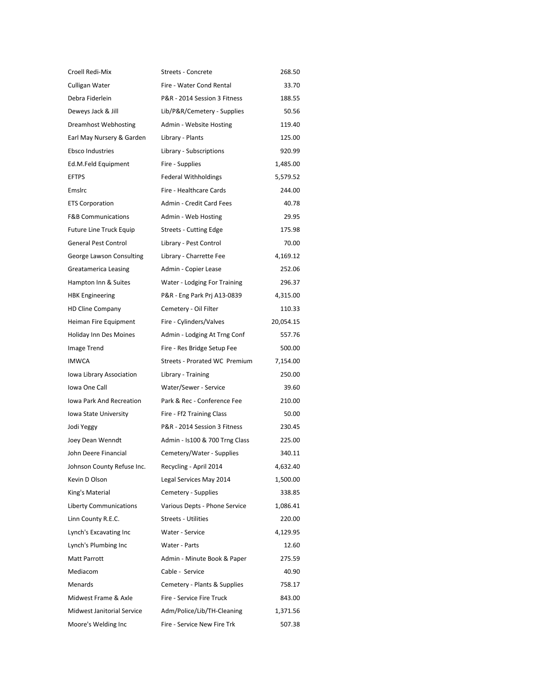| Croell Redi-Mix                 | Streets - Concrete             | 268.50    |
|---------------------------------|--------------------------------|-----------|
| Culligan Water                  | Fire - Water Cond Rental       | 33.70     |
| Debra Fiderlein                 | P&R - 2014 Session 3 Fitness   | 188.55    |
| Deweys Jack & Jill              | Lib/P&R/Cemetery - Supplies    | 50.56     |
| Dreamhost Webhosting            | Admin - Website Hosting        | 119.40    |
| Earl May Nursery & Garden       | Library - Plants               | 125.00    |
| Ebsco Industries                | Library - Subscriptions        | 920.99    |
| Ed.M.Feld Equipment             | Fire - Supplies                | 1,485.00  |
| <b>EFTPS</b>                    | <b>Federal Withholdings</b>    | 5,579.52  |
| Emslrc                          | Fire - Healthcare Cards        | 244.00    |
| <b>ETS Corporation</b>          | Admin - Credit Card Fees       | 40.78     |
| <b>F&amp;B Communications</b>   | Admin - Web Hosting            | 29.95     |
| Future Line Truck Equip         | <b>Streets - Cutting Edge</b>  | 175.98    |
| <b>General Pest Control</b>     | Library - Pest Control         | 70.00     |
| George Lawson Consulting        | Library - Charrette Fee        | 4,169.12  |
| Greatamerica Leasing            | Admin - Copier Lease           | 252.06    |
| Hampton Inn & Suites            | Water - Lodging For Training   | 296.37    |
| <b>HBK Engineering</b>          | P&R - Eng Park Prj A13-0839    | 4,315.00  |
| <b>HD Cline Company</b>         | Cemetery - Oil Filter          | 110.33    |
| Heiman Fire Equipment           | Fire - Cylinders/Valves        | 20,054.15 |
| Holiday Inn Des Moines          | Admin - Lodging At Trng Conf   | 557.76    |
| Image Trend                     | Fire - Res Bridge Setup Fee    | 500.00    |
| <b>IMWCA</b>                    | Streets - Prorated WC Premium  | 7,154.00  |
| Iowa Library Association        | Library - Training             | 250.00    |
| Iowa One Call                   | Water/Sewer - Service          | 39.60     |
| <b>Iowa Park And Recreation</b> | Park & Rec - Conference Fee    | 210.00    |
| Iowa State University           | Fire - Ff2 Training Class      | 50.00     |
| Jodi Yeggy                      | P&R - 2014 Session 3 Fitness   | 230.45    |
| Joey Dean Wenndt                | Admin - Is100 & 700 Trng Class | 225.00    |
| John Deere Financial            | Cemetery/Water - Supplies      | 340.11    |
| Johnson County Refuse Inc.      | Recycling - April 2014         | 4,632.40  |
| Kevin D Olson                   | Legal Services May 2014        | 1,500.00  |
| King's Material                 | Cemetery - Supplies            | 338.85    |
| <b>Liberty Communications</b>   | Various Depts - Phone Service  | 1,086.41  |
| Linn County R.E.C.              | <b>Streets - Utilities</b>     | 220.00    |
| Lynch's Excavating Inc          | Water - Service                | 4,129.95  |
| Lynch's Plumbing Inc            | Water - Parts                  | 12.60     |
| <b>Matt Parrott</b>             | Admin - Minute Book & Paper    | 275.59    |
| Mediacom                        | Cable - Service                | 40.90     |
| Menards                         | Cemetery - Plants & Supplies   | 758.17    |
| Midwest Frame & Axle            | Fire - Service Fire Truck      | 843.00    |
| Midwest Janitorial Service      | Adm/Police/Lib/TH-Cleaning     | 1,371.56  |
| Moore's Welding Inc             | Fire - Service New Fire Trk    | 507.38    |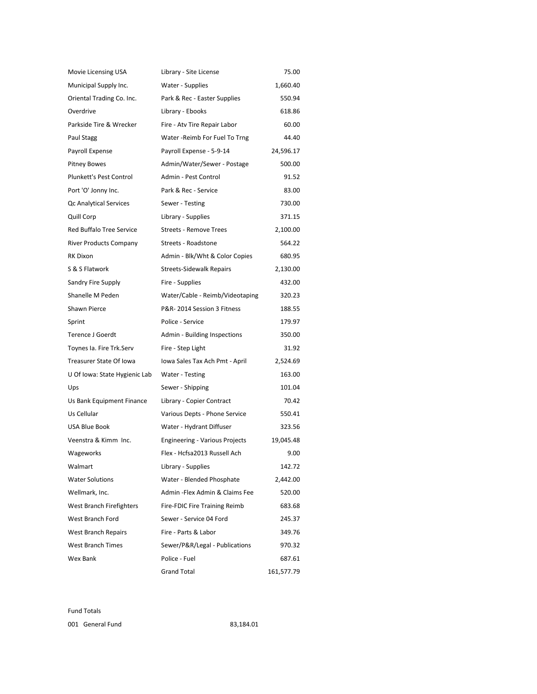| Movie Licensing USA           | Library - Site License                | 75.00      |
|-------------------------------|---------------------------------------|------------|
| Municipal Supply Inc.         | Water - Supplies                      | 1,660.40   |
| Oriental Trading Co. Inc.     | Park & Rec - Easter Supplies          | 550.94     |
| Overdrive                     | Library - Ebooks                      | 618.86     |
| Parkside Tire & Wrecker       | Fire - Atv Tire Repair Labor          | 60.00      |
| Paul Stagg                    | Water - Reimb For Fuel To Trng        | 44.40      |
| Payroll Expense               | Payroll Expense - 5-9-14              | 24,596.17  |
| <b>Pitney Bowes</b>           | Admin/Water/Sewer - Postage           | 500.00     |
| Plunkett's Pest Control       | Admin - Pest Control                  | 91.52      |
| Port 'O' Jonny Inc.           | Park & Rec - Service                  | 83.00      |
| Qc Analytical Services        | Sewer - Testing                       | 730.00     |
| Quill Corp                    | Library - Supplies                    | 371.15     |
| Red Buffalo Tree Service      | <b>Streets - Remove Trees</b>         | 2,100.00   |
| <b>River Products Company</b> | Streets - Roadstone                   | 564.22     |
| RK Dixon                      | Admin - Blk/Wht & Color Copies        | 680.95     |
| S & S Flatwork                | <b>Streets-Sidewalk Repairs</b>       | 2,130.00   |
| Sandry Fire Supply            | Fire - Supplies                       | 432.00     |
| Shanelle M Peden              | Water/Cable - Reimb/Videotaping       | 320.23     |
| Shawn Pierce                  | P&R-2014 Session 3 Fitness            | 188.55     |
| Sprint                        | Police - Service                      | 179.97     |
| <b>Terence J Goerdt</b>       | Admin - Building Inspections          | 350.00     |
| Toynes Ia. Fire Trk.Serv      | Fire - Step Light                     | 31.92      |
| Treasurer State Of Iowa       | Iowa Sales Tax Ach Pmt - April        | 2,524.69   |
| U Of Iowa: State Hygienic Lab | Water - Testing                       | 163.00     |
| Ups                           | Sewer - Shipping                      | 101.04     |
| Us Bank Equipment Finance     | Library - Copier Contract             | 70.42      |
| Us Cellular                   | Various Depts - Phone Service         | 550.41     |
| <b>USA Blue Book</b>          | Water - Hydrant Diffuser              | 323.56     |
| Veenstra & Kimm Inc.          | <b>Engineering - Various Projects</b> | 19,045.48  |
| Wageworks                     | Flex - Hcfsa2013 Russell Ach          | 9.00       |
| Walmart                       | Library - Supplies                    | 142.72     |
| <b>Water Solutions</b>        | Water - Blended Phosphate             | 2,442.00   |
| Wellmark, Inc.                | Admin - Flex Admin & Claims Fee       | 520.00     |
| West Branch Firefighters      | Fire-FDIC Fire Training Reimb         | 683.68     |
| West Branch Ford              | Sewer - Service 04 Ford               | 245.37     |
| <b>West Branch Repairs</b>    | Fire - Parts & Labor                  | 349.76     |
| <b>West Branch Times</b>      | Sewer/P&R/Legal - Publications        | 970.32     |
| Wex Bank                      | Police - Fuel                         | 687.61     |
|                               | <b>Grand Total</b>                    | 161,577.79 |

Fund Totals 001 General Fund 83,184.01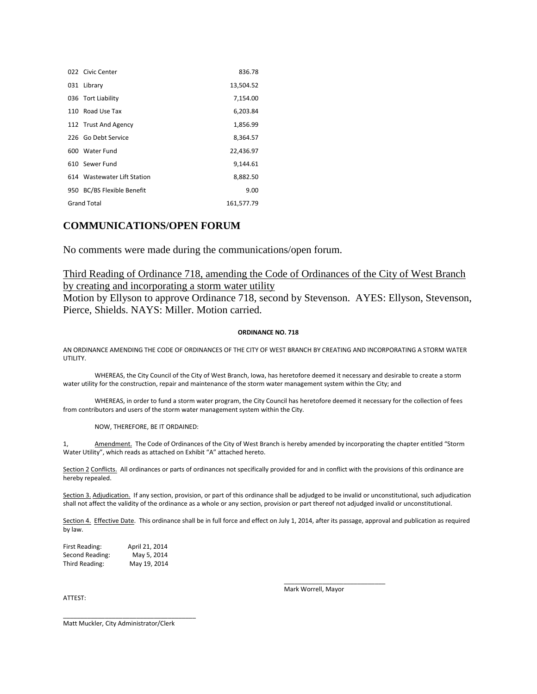|     | 022 Civic Center              | 836.78     |
|-----|-------------------------------|------------|
|     | 031 Library                   | 13,504.52  |
|     | 036 Tort Liability            | 7,154.00   |
|     | 110 Road Use Tax              | 6,203.84   |
|     | 112 Trust And Agency          | 1,856.99   |
|     | 226 Go Debt Service           | 8,364.57   |
|     | 600 Water Fund                | 22,436.97  |
|     | 610 Sewer Fund                | 9.144.61   |
|     | 614 Wastewater Lift Station   | 8,882.50   |
| 950 | <b>BC/BS Flexible Benefit</b> | 9.00       |
|     | <b>Grand Total</b>            | 161.577.79 |

### **COMMUNICATIONS/OPEN FORUM**

No comments were made during the communications/open forum.

### Third Reading of Ordinance 718, amending the Code of Ordinances of the City of West Branch by creating and incorporating a storm water utility

Motion by Ellyson to approve Ordinance 718, second by Stevenson. AYES: Ellyson, Stevenson, Pierce, Shields. NAYS: Miller. Motion carried.

#### **ORDINANCE NO. 718**

AN ORDINANCE AMENDING THE CODE OF ORDINANCES OF THE CITY OF WEST BRANCH BY CREATING AND INCORPORATING A STORM WATER UTILITY.

WHEREAS, the City Council of the City of West Branch, Iowa, has heretofore deemed it necessary and desirable to create a storm water utility for the construction, repair and maintenance of the storm water management system within the City; and

WHEREAS, in order to fund a storm water program, the City Council has heretofore deemed it necessary for the collection of fees from contributors and users of the storm water management system within the City.

#### NOW, THEREFORE, BE IT ORDAINED:

1, Amendment. The Code of Ordinances of the City of West Branch is hereby amended by incorporating the chapter entitled "Storm Water Utility", which reads as attached on Exhibit "A" attached hereto.

Section 2 Conflicts. All ordinances or parts of ordinances not specifically provided for and in conflict with the provisions of this ordinance are hereby repealed.

Section 3. Adjudication. If any section, provision, or part of this ordinance shall be adjudged to be invalid or unconstitutional, such adjudication shall not affect the validity of the ordinance as a whole or any section, provision or part thereof not adjudged invalid or unconstitutional.

Section 4. Effective Date. This ordinance shall be in full force and effect on July 1, 2014, after its passage, approval and publication as required by law.

| First Reading:  | April 21, 2014 |
|-----------------|----------------|
| Second Reading: | May 5, 2014    |
| Third Reading:  | May 19, 2014   |

ATTEST:

\_\_\_\_\_\_\_\_\_\_\_\_\_\_\_\_\_\_\_\_\_\_\_\_\_\_\_\_\_ Mark Worrell, Mayor

Matt Muckler, City Administrator/Clerk

\_\_\_\_\_\_\_\_\_\_\_\_\_\_\_\_\_\_\_\_\_\_\_\_\_\_\_\_\_\_\_\_\_\_\_\_\_\_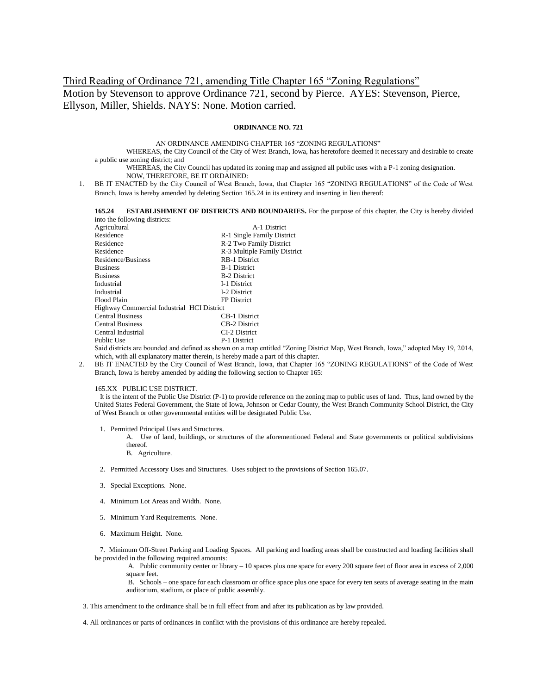# Third Reading of Ordinance 721, amending Title Chapter 165 "Zoning Regulations" Motion by Stevenson to approve Ordinance 721, second by Pierce. AYES: Stevenson, Pierce, Ellyson, Miller, Shields. NAYS: None. Motion carried.

#### **ORDINANCE NO. 721**

AN ORDINANCE AMENDING CHAPTER 165 "ZONING REGULATIONS"

WHEREAS, the City Council of the City of West Branch, Iowa, has heretofore deemed it necessary and desirable to create a public use zoning district; and

WHEREAS, the City Council has updated its zoning map and assigned all public uses with a P-1 zoning designation. NOW, THEREFORE, BE IT ORDAINED:

1. BE IT ENACTED by the City Council of West Branch, Iowa, that Chapter 165 "ZONING REGULATIONS" of the Code of West Branch, Iowa is hereby amended by deleting Section 165.24 in its entirety and inserting in lieu thereof:

#### **165.24 ESTABLISHMENT OF DISTRICTS AND BOUNDARIES.** For the purpose of this chapter, the City is hereby divided into the following districts:

| Agricultural                                                              | A-1 District                 |  |
|---------------------------------------------------------------------------|------------------------------|--|
| Residence                                                                 | R-1 Single Family District   |  |
| Residence                                                                 | R-2 Two Family District      |  |
| Residence                                                                 | R-3 Multiple Family District |  |
| Residence/Business                                                        | <b>RB-1 District</b>         |  |
| <b>Business</b>                                                           | <b>B-1 District</b>          |  |
| <b>Business</b>                                                           | <b>B-2 District</b>          |  |
| Industrial                                                                | I-1 District                 |  |
| Industrial                                                                | I-2 District                 |  |
| Flood Plain                                                               | <b>FP</b> District           |  |
| Highway Commercial Industrial HCI District                                |                              |  |
| <b>Central Business</b>                                                   | <b>CB-1 District</b>         |  |
| <b>Central Business</b>                                                   | <b>CB-2 District</b>         |  |
| Central Industrial                                                        | CI-2 District                |  |
| Public Use                                                                | P-1 District                 |  |
| Said districts are bounded and defined as shown on a man entitled "Zonin- |                              |  |

s shown on a map entitled "Zoning District Map, West Branch, Iowa," adopted May 19, 2014, which, with all explanatory matter therein, is hereby made a part of this chapter.

2. BE IT ENACTED by the City Council of West Branch, Iowa, that Chapter 165 "ZONING REGULATIONS" of the Code of West Branch, Iowa is hereby amended by adding the following section to Chapter 165:

#### 165.XX PUBLIC USE DISTRICT.

 It is the intent of the Public Use District (P-1) to provide reference on the zoning map to public uses of land. Thus, land owned by the United States Federal Government, the State of Iowa, Johnson or Cedar County, the West Branch Community School District, the City of West Branch or other governmental entities will be designated Public Use.

1. Permitted Principal Uses and Structures.

A. Use of land, buildings, or structures of the aforementioned Federal and State governments or political subdivisions thereof.

- B. Agriculture.
- 2. Permitted Accessory Uses and Structures. Uses subject to the provisions of Section 165.07.
- 3. Special Exceptions. None.
- 4. Minimum Lot Areas and Width. None.
- 5. Minimum Yard Requirements. None.
- 6. Maximum Height. None.

 7. Minimum Off-Street Parking and Loading Spaces. All parking and loading areas shall be constructed and loading facilities shall be provided in the following required amounts:

A. Public community center or library – 10 spaces plus one space for every 200 square feet of floor area in excess of 2,000 square feet.

B. Schools – one space for each classroom or office space plus one space for every ten seats of average seating in the main auditorium, stadium, or place of public assembly.

3. This amendment to the ordinance shall be in full effect from and after its publication as by law provided.

4. All ordinances or parts of ordinances in conflict with the provisions of this ordinance are hereby repealed.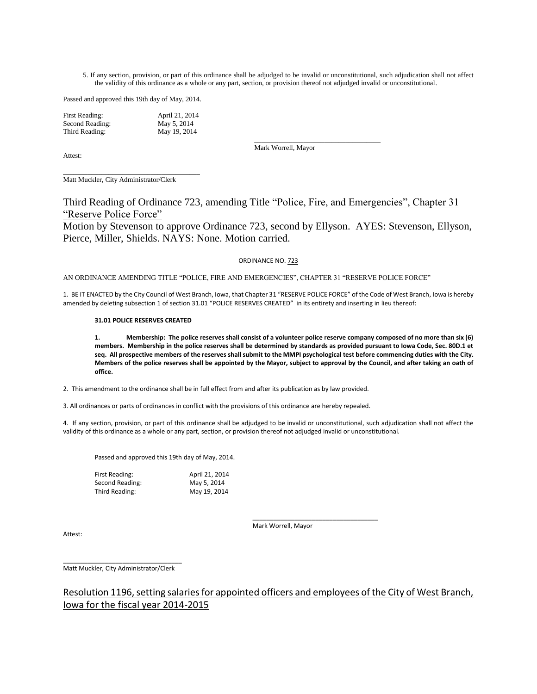5. If any section, provision, or part of this ordinance shall be adjudged to be invalid or unconstitutional, such adjudication shall not affect the validity of this ordinance as a whole or any part, section, or provision thereof not adjudged invalid or unconstitutional.

Passed and approved this 19th day of May, 2014.

| First Reading:  | April 21, 2014 |
|-----------------|----------------|
| Second Reading: | May 5, 2014    |
| Third Reading:  | May 19, 2014   |

Attest:

Mark Worrell, Mayor

\_\_\_\_\_\_\_\_\_\_\_\_\_\_\_\_\_\_\_\_\_\_\_\_\_\_\_\_\_\_\_\_\_\_\_\_

\_\_\_\_\_\_\_\_\_\_\_\_\_\_\_\_\_\_\_\_\_\_\_\_\_\_\_\_\_\_\_\_\_\_\_\_\_\_\_ Matt Muckler, City Administrator/Clerk

Third Reading of Ordinance 723, amending Title "Police, Fire, and Emergencies", Chapter 31 "Reserve Police Force"

Motion by Stevenson to approve Ordinance 723, second by Ellyson. AYES: Stevenson, Ellyson, Pierce, Miller, Shields. NAYS: None. Motion carried.

#### ORDINANCE NO. 723

AN ORDINANCE AMENDING TITLE "POLICE, FIRE AND EMERGENCIES", CHAPTER 31 "RESERVE POLICE FORCE"

1. BE IT ENACTED by the City Council of West Branch, Iowa, that Chapter 31 "RESERVE POLICE FORCE" of the Code of West Branch, Iowa is hereby amended by deleting subsection 1 of section 31.01 "POLICE RESERVES CREATED" in its entirety and inserting in lieu thereof:

#### **31.01 POLICE RESERVES CREATED**

**1. Membership: The police reserves shall consist of a volunteer police reserve company composed of no more than six (6) members. Membership in the police reserves shall be determined by standards as provided pursuant to Iowa Code, Sec. 80D.1 et seq. All prospective members of the reserves shall submit to the MMPI psychological test before commencing duties with the City. Members of the police reserves shall be appointed by the Mayor, subject to approval by the Council, and after taking an oath of office.**

2. This amendment to the ordinance shall be in full effect from and after its publication as by law provided.

3. All ordinances or parts of ordinances in conflict with the provisions of this ordinance are hereby repealed.

4. If any section, provision, or part of this ordinance shall be adjudged to be invalid or unconstitutional, such adjudication shall not affect the validity of this ordinance as a whole or any part, section, or provision thereof not adjudged invalid or unconstitutional.

Passed and approved this 19th day of May, 2014.

| First Reading:  | April 21, 2014 |
|-----------------|----------------|
| Second Reading: | May 5, 2014    |
| Third Reading:  | May 19, 2014   |

\_\_\_\_\_\_\_\_\_\_\_\_\_\_\_\_\_\_\_\_\_\_\_\_\_\_\_\_\_\_\_\_\_\_\_\_ Mark Worrell, Mayor

Attest:

\_\_\_\_\_\_\_\_\_\_\_\_\_\_\_\_\_\_\_\_\_\_\_\_\_\_\_\_\_\_\_\_\_\_ Matt Muckler, City Administrator/Clerk

## Resolution 1196, setting salaries for appointed officers and employees of the City of West Branch, Iowa for the fiscal year 2014-2015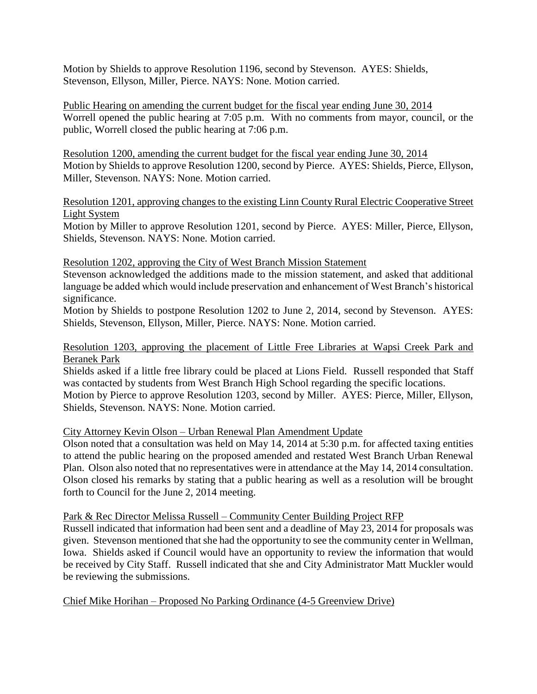Motion by Shields to approve Resolution 1196, second by Stevenson. AYES: Shields, Stevenson, Ellyson, Miller, Pierce. NAYS: None. Motion carried.

Public Hearing on amending the current budget for the fiscal year ending June 30, 2014 Worrell opened the public hearing at 7:05 p.m. With no comments from mayor, council, or the public, Worrell closed the public hearing at 7:06 p.m.

Resolution 1200, amending the current budget for the fiscal year ending June 30, 2014 Motion by Shields to approve Resolution 1200, second by Pierce. AYES: Shields, Pierce, Ellyson, Miller, Stevenson. NAYS: None. Motion carried.

Resolution 1201, approving changes to the existing Linn County Rural Electric Cooperative Street Light System

Motion by Miller to approve Resolution 1201, second by Pierce. AYES: Miller, Pierce, Ellyson, Shields, Stevenson. NAYS: None. Motion carried.

## Resolution 1202, approving the City of West Branch Mission Statement

Stevenson acknowledged the additions made to the mission statement, and asked that additional language be added which would include preservation and enhancement of West Branch's historical significance.

Motion by Shields to postpone Resolution 1202 to June 2, 2014, second by Stevenson. AYES: Shields, Stevenson, Ellyson, Miller, Pierce. NAYS: None. Motion carried.

# Resolution 1203, approving the placement of Little Free Libraries at Wapsi Creek Park and Beranek Park

Shields asked if a little free library could be placed at Lions Field. Russell responded that Staff was contacted by students from West Branch High School regarding the specific locations.

Motion by Pierce to approve Resolution 1203, second by Miller. AYES: Pierce, Miller, Ellyson, Shields, Stevenson. NAYS: None. Motion carried.

## City Attorney Kevin Olson – Urban Renewal Plan Amendment Update

Olson noted that a consultation was held on May 14, 2014 at 5:30 p.m. for affected taxing entities to attend the public hearing on the proposed amended and restated West Branch Urban Renewal Plan. Olson also noted that no representatives were in attendance at the May 14, 2014 consultation. Olson closed his remarks by stating that a public hearing as well as a resolution will be brought forth to Council for the June 2, 2014 meeting.

## Park & Rec Director Melissa Russell – Community Center Building Project RFP

Russell indicated that information had been sent and a deadline of May 23, 2014 for proposals was given. Stevenson mentioned that she had the opportunity to see the community center in Wellman, Iowa. Shields asked if Council would have an opportunity to review the information that would be received by City Staff. Russell indicated that she and City Administrator Matt Muckler would be reviewing the submissions.

## Chief Mike Horihan – Proposed No Parking Ordinance (4-5 Greenview Drive)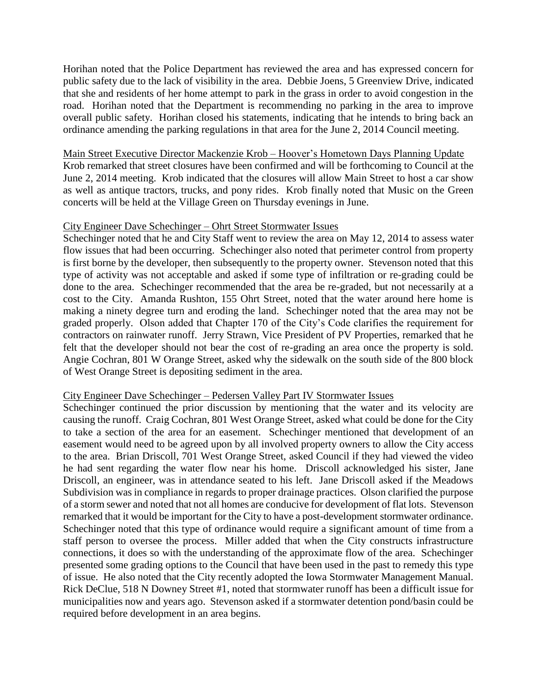Horihan noted that the Police Department has reviewed the area and has expressed concern for public safety due to the lack of visibility in the area. Debbie Joens, 5 Greenview Drive, indicated that she and residents of her home attempt to park in the grass in order to avoid congestion in the road. Horihan noted that the Department is recommending no parking in the area to improve overall public safety. Horihan closed his statements, indicating that he intends to bring back an ordinance amending the parking regulations in that area for the June 2, 2014 Council meeting.

### Main Street Executive Director Mackenzie Krob – Hoover's Hometown Days Planning Update

Krob remarked that street closures have been confirmed and will be forthcoming to Council at the June 2, 2014 meeting. Krob indicated that the closures will allow Main Street to host a car show as well as antique tractors, trucks, and pony rides. Krob finally noted that Music on the Green concerts will be held at the Village Green on Thursday evenings in June.

### City Engineer Dave Schechinger – Ohrt Street Stormwater Issues

Schechinger noted that he and City Staff went to review the area on May 12, 2014 to assess water flow issues that had been occurring. Schechinger also noted that perimeter control from property is first borne by the developer, then subsequently to the property owner. Stevenson noted that this type of activity was not acceptable and asked if some type of infiltration or re-grading could be done to the area. Schechinger recommended that the area be re-graded, but not necessarily at a cost to the City. Amanda Rushton, 155 Ohrt Street, noted that the water around here home is making a ninety degree turn and eroding the land. Schechinger noted that the area may not be graded properly. Olson added that Chapter 170 of the City's Code clarifies the requirement for contractors on rainwater runoff. Jerry Strawn, Vice President of PV Properties, remarked that he felt that the developer should not bear the cost of re-grading an area once the property is sold. Angie Cochran, 801 W Orange Street, asked why the sidewalk on the south side of the 800 block of West Orange Street is depositing sediment in the area.

#### City Engineer Dave Schechinger – Pedersen Valley Part IV Stormwater Issues

Schechinger continued the prior discussion by mentioning that the water and its velocity are causing the runoff. Craig Cochran, 801 West Orange Street, asked what could be done for the City to take a section of the area for an easement. Schechinger mentioned that development of an easement would need to be agreed upon by all involved property owners to allow the City access to the area. Brian Driscoll, 701 West Orange Street, asked Council if they had viewed the video he had sent regarding the water flow near his home. Driscoll acknowledged his sister, Jane Driscoll, an engineer, was in attendance seated to his left. Jane Driscoll asked if the Meadows Subdivision was in compliance in regards to proper drainage practices. Olson clarified the purpose of a storm sewer and noted that not all homes are conducive for development of flat lots. Stevenson remarked that it would be important for the City to have a post-development stormwater ordinance. Schechinger noted that this type of ordinance would require a significant amount of time from a staff person to oversee the process. Miller added that when the City constructs infrastructure connections, it does so with the understanding of the approximate flow of the area. Schechinger presented some grading options to the Council that have been used in the past to remedy this type of issue. He also noted that the City recently adopted the Iowa Stormwater Management Manual. Rick DeClue, 518 N Downey Street #1, noted that stormwater runoff has been a difficult issue for municipalities now and years ago. Stevenson asked if a stormwater detention pond/basin could be required before development in an area begins.